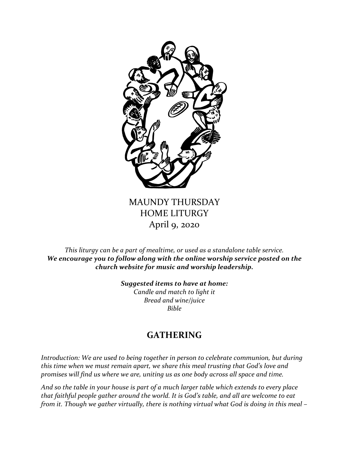

# MAUNDY THURSDAY HOME LITURGY April 9, 2020

*This liturgy can be a part of mealtime, or used as a standalone table service. We encourage you to follow along with the online worship service posted on the church website for music and worship leadership.*

> *Suggested items to have at home: Candle and match to light it Bread and wine/juice Bible*

# **GATHERING**

*Introduction: We are used to being together in person to celebrate communion, but during this time when we must remain apart, we share this meal trusting that God's love and promises will find us where we are, uniting us as one body across all space and time.* 

*And so the table in your house is part of a much larger table which extends to every place that faithful people gather around the world. It is God's table, and all are welcome to eat from it. Though we gather virtually, there is nothing virtual what God is doing in this meal –*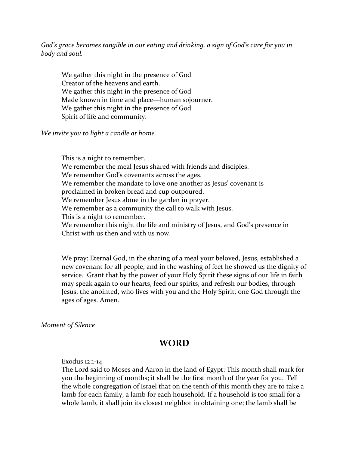*God's grace becomes tangible in our eating and drinking, a sign of God's care for you in body and soul.*

We gather this night in the presence of God Creator of the heavens and earth. We gather this night in the presence of God Made known in time and place—human sojourner. We gather this night in the presence of God Spirit of life and community.

*We invite you to light a candle at home.*

This is a night to remember. We remember the meal Jesus shared with friends and disciples. We remember God's covenants across the ages. We remember the mandate to love one another as Jesus' covenant is proclaimed in broken bread and cup outpoured. We remember Jesus alone in the garden in prayer. We remember as a community the call to walk with Jesus. This is a night to remember. We remember this night the life and ministry of Jesus, and God's presence in Christ with us then and with us now.

We pray: Eternal God, in the sharing of a meal your beloved, Jesus, established a new covenant for all people, and in the washing of feet he showed us the dignity of service. Grant that by the power of your Holy Spirit these signs of our life in faith may speak again to our hearts, feed our spirits, and refresh our bodies, through Jesus, the anointed, who lives with you and the Holy Spirit, one God through the ages of ages. Amen.

*Moment of Silence*

## **WORD**

### Exodus 12:1-14

The Lord said to Moses and Aaron in the land of Egypt: This month shall mark for you the beginning of months; it shall be the first month of the year for you. Tell the whole congregation of Israel that on the tenth of this month they are to take a lamb for each family, a lamb for each household. If a household is too small for a whole lamb, it shall join its closest neighbor in obtaining one; the lamb shall be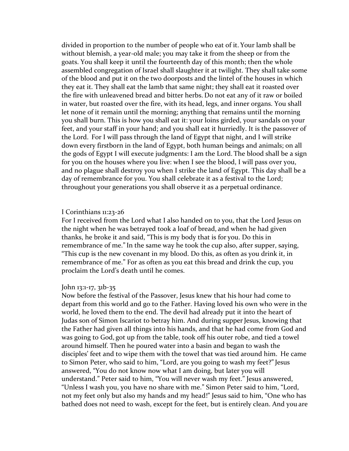divided in proportion to the number of people who eat of it. Your lamb shall be without blemish, a year-old male; you may take it from the sheep or from the goats. You shall keep it until the fourteenth day of this month; then the whole assembled congregation of Israel shall slaughter it at twilight. They shall take some of the blood and put it on the two doorposts and the lintel of the houses in which they eat it. They shall eat the lamb that same night; they shall eat it roasted over the fire with unleavened bread and bitter herbs. Do not eat any of it raw or boiled in water, but roasted over the fire, with its head, legs, and inner organs. You shall let none of it remain until the morning; anything that remains until the morning you shall burn. This is how you shall eat it: your loins girded, your sandals on your feet, and your staff in your hand; and you shall eat it hurriedly. It is the passover of the Lord. For I will pass through the land of Egypt that night, and I will strike down every firstborn in the land of Egypt, both human beings and animals; on all the gods of Egypt I will execute judgments: I am the Lord. The blood shall be a sign for you on the houses where you live: when I see the blood, I will pass over you, and no plague shall destroy you when I strike the land of Egypt. This day shall be a day of remembrance for you. You shall celebrate it as a festival to the Lord; throughout your generations you shall observe it as a perpetual ordinance.

#### I Corinthians 11:23-26

For I received from the Lord what I also handed on to you, that the Lord Jesus on the night when he was betrayed took a loaf of bread, and when he had given thanks, he broke it and said, "This is my body that is for you. Do this in remembrance of me."In the same way he took the cup also, after supper, saying, "This cup is the new covenant in my blood. Do this, as often as you drink it, in remembrance of me." For as often as you eat this bread and drink the cup, you proclaim the Lord's death until he comes.

#### John 13:1-17, 31b-35

Now before the festival of the Passover, Jesus knew that his hour had come to depart from this world and go to the Father. Having loved his own who were in the world, he loved them to the end. The devil had already put it into the heart of Judas son of Simon Iscariot to betray him. And during supper Jesus, knowing that the Father had given all things into his hands, and that he had come from God and was going to God, got up from the table, took off his outer robe, and tied a towel around himself. Then he poured water into a basin and began to wash the disciples' feet and to wipe them with the towel that was tied around him. He came to Simon Peter, who said to him, "Lord, are you going to wash my feet?" Jesus answered, "You do not know now what I am doing, but later you will understand." Peter said to him, "You will never wash my feet." Jesus answered, "Unless I wash you, you have no share with me." Simon Peter said to him, "Lord, not my feet only but also my hands and my head!" Jesus said to him, "One who has bathed does not need to wash, except for the feet, but is entirely clean. And you are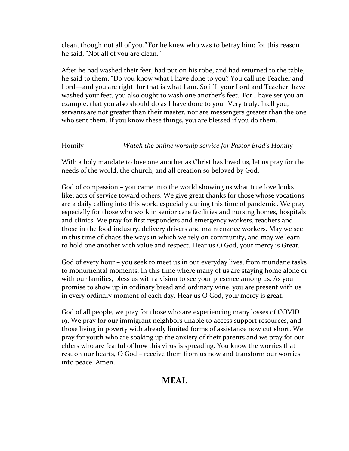clean, though not all of you." For he knew who was to betray him; for this reason he said, "Not all of you are clean."

After he had washed their feet, had put on his robe, and had returned to the table, he said to them, "Do you know what I have done to you? You call me Teacher and Lord—and you are right, for that is what I am. So if I, your Lord and Teacher, have washed your feet, you also ought to wash one another's feet. For I have set you an example, that you also should do as I have done to you. Very truly, I tell you, servants are not greater than their master, nor are messengers greater than the one who sent them. If you know these things, you are blessed if you do them.

### Homily *Watch the online worship service for Pastor Brad's Homily*

With a holy mandate to love one another as Christ has loved us, let us pray for the needs of the world, the church, and all creation so beloved by God.

God of compassion – you came into the world showing us what true love looks like: acts of service toward others. We give great thanks for those whose vocations are a daily calling into this work, especially during this time of pandemic. We pray especially for those who work in senior care facilities and nursing homes, hospitals and clinics. We pray for first responders and emergency workers, teachers and those in the food industry, delivery drivers and maintenance workers. May we see in this time of chaos the ways in which we rely on community, and may we learn to hold one another with value and respect. Hear us O God, your mercy is Great.

God of every hour – you seek to meet us in our everyday lives, from mundane tasks to monumental moments. In this time where many of us are staying home alone or with our families, bless us with a vision to see your presence among us. As you promise to show up in ordinary bread and ordinary wine, you are present with us in every ordinary moment of each day. Hear us O God, your mercy is great.

God of all people, we pray for those who are experiencing many losses of COVID 19. We pray for our immigrant neighbors unable to access support resources, and those living in poverty with already limited forms of assistance now cut short. We pray for youth who are soaking up the anxiety of their parents and we pray for our elders who are fearful of how this virus is spreading. You know the worries that rest on our hearts, O God – receive them from us now and transform our worries into peace. Amen.

## **MEAL**